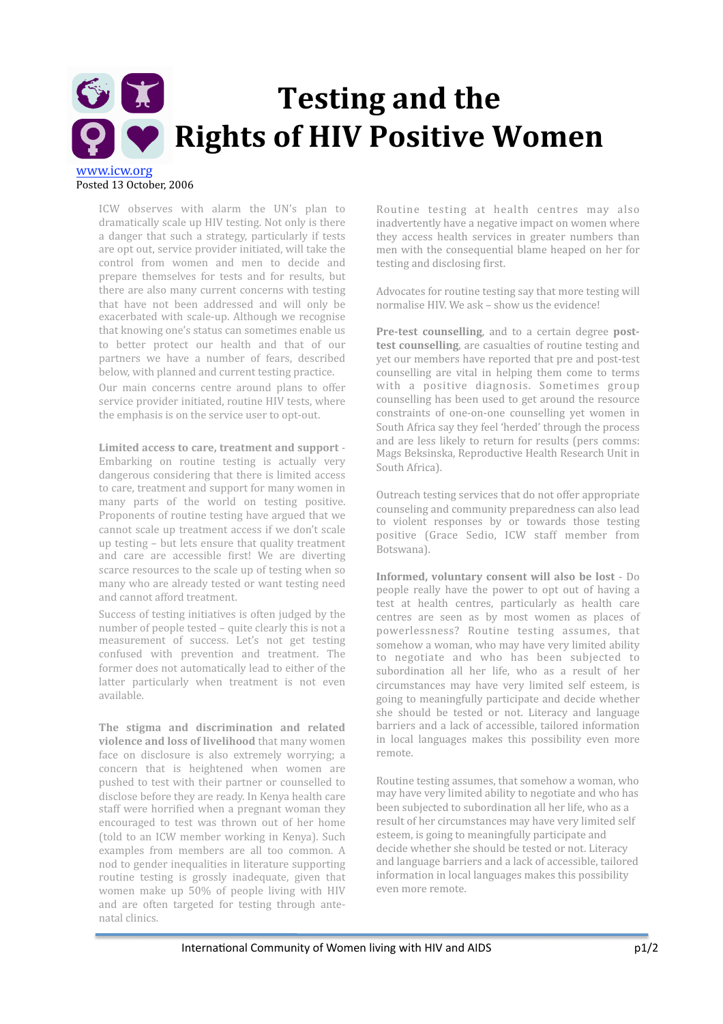## GIT **Testing
and
the P** Rights of HIV Positive Women www.icw.org

Posted
13
October,
2006

ICW observes with alarm the UN's plan to dramatically
scale
up
HIV
testing.
Not
only
is
there a danger that such a strategy, particularly if tests are
opt
out,
service
provider
initiated,
will
take
the control
 from
 women
 and
 men
 to
 decide
 and prepare
 themselves
 for
 tests
 and
 for
 results,
 but there are also many current concerns with testing that
 have
 not
 been
 addressed
 and
 will
 only
 be exacerbated
with
scale‐up.
Although
we
 recognise that
knowing
one's
status
can
sometimes
enable
us to better protect our health and that of our partners
 we
 have
 a
 number
 of
 fears,
 described below,
with
planned
and
current
testing
practice.

Our main concerns centre around plans to offer service
provider
initiated,
routine
HIV
tests,
where the
emphasis
is
on
the
service
user
to
opt‐out.

Limited access to care, treatment and support -Embarking on routine testing is actually very dangerous
considering
that
there
is
limited
access to
care,
treatment
and
support
for
many
women
in many
 parts
 of
 the
 world
 on
 testing
 positive. Proponents of routine testing have argued that we cannot
scale
up
 treatment
access
if
we
don't
scale up
testing
–
but
lets
ensure
that
quality
treatment and care are accessible first! We are diverting scarce resources to the scale up of testing when so many
who
are
already
tested
or
want
testing
need and
cannot
afford
treatment.

Success of testing initiatives is often judged by the number
of
people
tested
–
quite
clearly
this
is
not
a measurement
 of
 success.
 Let's
 not
 get
 testing confused
 with
 prevention
 and
 treatment.
 The former does not automatically lead to either of the latter particularly when treatment is not even available.

The stigma and discrimination and related **violence and loss of livelihood** that many women face on disclosure is also extremely worrying: a concern
 that
 is
 heightened
 when
 women
 are pushed
 to
 test
with
 their
partner
or
counselled
 to disclose
before
they
are
ready.
In
Kenya
health
care staff were horrified when a pregnant woman they encouraged
 to
 test
 was
 thrown
 out
 of
 her
 home (told
 to
 an
 ICW
member
working
in
 Kenya).
 Such examples from members are all too common. A nod
to
gender
inequalities
in
literature
supporting routine
 testing
 is
 grossly
 inadequate,
 given
 that women
 make
 up
 50%
 of
 people
 living
 with
 HIV and
 are
 often
 targeted
 for
 testing
 through
 ante‐ natal
clinics.

Routine
 testing
 at
 health
 centres
 may
 also inadvertently
have
a
negative
impact
on
women
where they access health services in greater numbers than men
with
 the
consequential
blame
heaped
on
her
 for testing and disclosing first.

Advocates
for
routine
testing
say
that
more
testing
will normalise
HIV.
We
ask
–
show
us
the
evidence!

Pre-test counselling, and to a certain degree post**test
counselling**,
are
casualties
of
routine
testing
and yet
our
members
have
reported
that
pre
and
post‐test counselling are vital in helping them come to terms with
 a
 positive
 diagnosis.
 Sometimes
 group counselling
has
been
used
 to
get
around
 the
resource constraints
 of
 one‐on‐one
 counselling
 yet
 women
 in South
Africa
say
they
feel
'herded'
through
the
process and
are
less
likely
 to
 return
 for
 results
 (pers
 comms: Mags
Beksinska,
Reproductive
Health
Research
Unit
in South
Africa).

Outreach
testing
services
that
do
not
offer
appropriate counseling
and
community
preparedness
can
also
lead to
 violent
 responses
 by
 or
 towards
 those
 testing positive
 (Grace
 Sedio,
 ICW
 staff
 member
 from Botswana).

Informed, voluntary consent will also be lost - Do people really have the power to opt out of having a test
 at
 health
 centres,
 particularly
 as
 health
 care centres are seen as by most women as places of powerlessness?
 Routine
 testing
 assumes,
 that somehow
a
woman,
who
may
have
very
limited
ability to
 negotiate
 and
 who
 has
 been
 subjected
 to subordination all her life, who as a result of her circumstances
 may
 have
 very
 limited
 self
 esteem,
 is going
 to
meaningfully
participate
and
decide
whether she
 should
 be
 tested
 or
 not.
 Literacy
 and
 language barriers
and
a
lack
of
accessible,
 tailored
information in
 local
 languages
 makes
 this
 possibility
 even
 more remote.

Routine
testing
assumes,
that
somehow
a
woman,
who may
have
very
limited
ability
to
negotiate
and
who
has been subjected to subordination all her life, who as a result
of
her
circumstances
may
have
very
limited
self esteem,
is
going
to
meaningfully
participate
and decide
whether
she
should
be
tested
or
not.
Literacy and
language
barriers
and
a
lack
of
accessible,
tailored information
in
local
languages
makes
this
possibility even
more
remote.